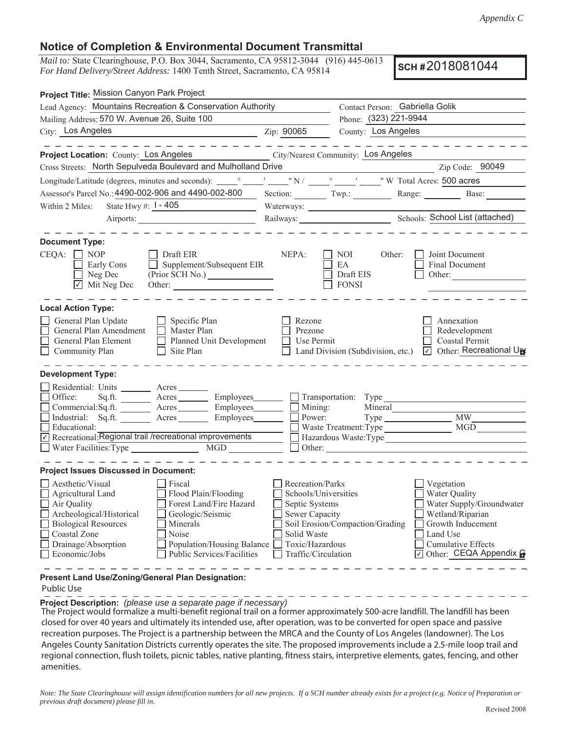## **Notice of Completion & Environmental Document Transmittal**

*Mail to:* State Clearinghouse, P.O. Box 3044, Sacramento, CA 95812-3044 (916) 445-0613 *For Hand Delivery/Street Address:* 1400 Tenth Street, Sacramento, CA 95814

**SCH #** 2018081044

| Project Title: Mission Canyon Park Project                                                                                  |                                                          |                                        |                                     |                                                                                                                               |
|-----------------------------------------------------------------------------------------------------------------------------|----------------------------------------------------------|----------------------------------------|-------------------------------------|-------------------------------------------------------------------------------------------------------------------------------|
| Lead Agency: Mountains Recreation & Conservation Authority                                                                  |                                                          | Contact Person: Gabriella Golik        |                                     |                                                                                                                               |
| Mailing Address: 570 W. Avenue 26, Suite 100                                                                                |                                                          | Phone: (323) 221-9944                  |                                     |                                                                                                                               |
| City: Los Angeles                                                                                                           |                                                          | Zip: 90065                             | County: Los Angeles                 |                                                                                                                               |
|                                                                                                                             | _ _ _ _ _ _ _ _ _ _ _ _ _ _ _                            |                                        |                                     | $\frac{1}{2}$ = $\frac{1}{2}$ = $\frac{1}{2}$ = $\frac{1}{2}$ = $\frac{1}{2}$ = $\frac{1}{2}$ = $\frac{1}{2}$ = $\frac{1}{2}$ |
| Project Location: County: Los Angeles                                                                                       |                                                          |                                        | City/Nearest Community: Los Angeles |                                                                                                                               |
| Cross Streets: North Sepulveda Boulevard and Mulholland Drive                                                               |                                                          |                                        |                                     | $\frac{1}{2}$ Zip Code: 90049                                                                                                 |
|                                                                                                                             |                                                          |                                        |                                     |                                                                                                                               |
| Assessor's Parcel No.: 4490-002-906 and 4490-002-800                                                                        |                                                          |                                        |                                     | Section: Twp.: Twp.: Range: Base:                                                                                             |
| State Hwy #: $1 - 405$<br>Within 2 Miles:                                                                                   |                                                          |                                        |                                     |                                                                                                                               |
| Airports:                                                                                                                   |                                                          |                                        |                                     | Railways: <u>Chools: School List (attached)</u>                                                                               |
|                                                                                                                             |                                                          |                                        |                                     |                                                                                                                               |
| <b>Document Type:</b>                                                                                                       |                                                          |                                        |                                     |                                                                                                                               |
| $CEQA: \Box NOP$                                                                                                            | Draft EIR                                                | NEPA:                                  | NOI<br>Other:                       | Joint Document                                                                                                                |
| <b>Early Cons</b><br>$\Box$ Neg Dec                                                                                         | $\Box$ Supplement/Subsequent EIR                         |                                        | EA<br>Draft EIS                     | Final Document<br>Other:                                                                                                      |
| $\overline{\bigcup}$ Mit Neg Dec                                                                                            |                                                          |                                        | <b>FONSI</b>                        |                                                                                                                               |
|                                                                                                                             |                                                          |                                        |                                     |                                                                                                                               |
| <b>Local Action Type:</b>                                                                                                   |                                                          |                                        |                                     |                                                                                                                               |
| General Plan Update                                                                                                         | $\Box$ Specific Plan                                     | Rezone                                 |                                     | Annexation                                                                                                                    |
| General Plan Amendment                                                                                                      | $\Box$ Master Plan                                       | Prezone                                |                                     | Redevelopment                                                                                                                 |
| General Plan Element                                                                                                        | Planned Unit Development                                 | Use Permit                             |                                     | <b>Coastal Permit</b>                                                                                                         |
| Community Plan                                                                                                              | $\Box$ Site Plan                                         |                                        | Land Division (Subdivision, etc.)   | ○ Other: Recreational U                                                                                                       |
|                                                                                                                             |                                                          |                                        |                                     |                                                                                                                               |
| <b>Development Type:</b>                                                                                                    |                                                          |                                        |                                     |                                                                                                                               |
| Residential: Units ________ Acres _______                                                                                   |                                                          |                                        |                                     |                                                                                                                               |
| Office:                                                                                                                     | Sq.ft. Acres Employees Transportation: Type              |                                        |                                     |                                                                                                                               |
| Commercial:Sq.ft. _______ Acres ________ Employees_______ _<br>Industrial: Sq.ft. _______ Acres _______ Employees _______ _ |                                                          |                                        | Mining:<br>Mineral                  | Power: Type MW MW                                                                                                             |
| Educational:                                                                                                                |                                                          |                                        |                                     |                                                                                                                               |
| Recreational: Regional trail / recreational improvements                                                                    |                                                          | Hazardous Waste:Type                   |                                     |                                                                                                                               |
|                                                                                                                             |                                                          |                                        |                                     | Other:                                                                                                                        |
|                                                                                                                             |                                                          |                                        |                                     |                                                                                                                               |
| <b>Project Issues Discussed in Document:</b>                                                                                |                                                          |                                        |                                     |                                                                                                                               |
| Aesthetic/Visual                                                                                                            | Fiscal                                                   | Recreation/Parks                       |                                     | Vegetation                                                                                                                    |
| $\Box$ Agricultural Land                                                                                                    | Flood Plain/Flooding                                     | Schools/Universities                   |                                     | <b>Water Quality</b>                                                                                                          |
| Air Quality                                                                                                                 | Forest Land/Fire Hazard                                  | $\Box$ Septic Systems                  |                                     | Water Supply/Groundwater                                                                                                      |
| Archeological/Historical                                                                                                    | Geologic/Seismic                                         | Sewer Capacity                         |                                     | Wetland/Riparian                                                                                                              |
| <b>Biological Resources</b>                                                                                                 | Minerals                                                 |                                        | Soil Erosion/Compaction/Grading     | Growth Inducement                                                                                                             |
| Coastal Zone                                                                                                                | Noise                                                    | Solid Waste                            |                                     | Land Use                                                                                                                      |
| Drainage/Absorption<br>Economic/Jobs                                                                                        | Population/Housing Balance<br>Public Services/Facilities | Toxic/Hazardous<br>Traffic/Circulation |                                     | <b>Cumulative Effects</b><br>$\boxed{\triangledown}$ Other: CEQA Appendix $\ominus$                                           |
|                                                                                                                             |                                                          |                                        |                                     |                                                                                                                               |
| Present Land Use/Zoning/General Plan Designation:                                                                           |                                                          |                                        |                                     |                                                                                                                               |

Public Use

**Project Description:** *(please use a separate page if necessary)* 

 The Project would formalize a multi-benefit regional trail on a former approximately 500-acre landfill. The landfill has been closed for over 40 years and ultimately its intended use, after operation, was to be converted for open space and passive recreation purposes. The Project is a partnership between the MRCA and the County of Los Angeles (landowner). The Los Angeles County Sanitation Districts currently operates the site. The proposed improvements include a 2.5-mile loop trail and regional connection, flush toilets, picnic tables, native planting, fitness stairs, interpretive elements, gates, fencing, and other amenities.

*Note: The State Clearinghouse will assign identification numbers for all new projects. If a SCH number already exists for a project (e.g. Notice of Preparation or previous draft document) please fill in.*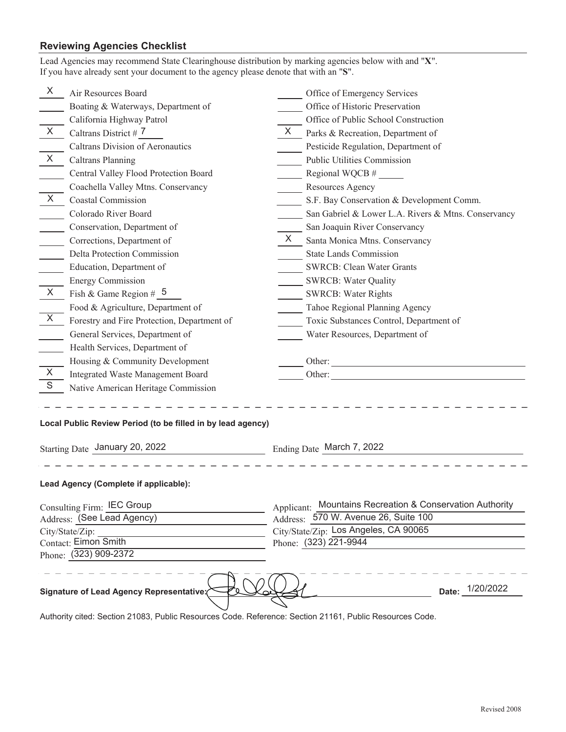## **Reviewing Agencies Checklist**

| If you have already sent your document to the agency please denote that with an "S".                   |                                                                                                                                                                                                                                |  |  |
|--------------------------------------------------------------------------------------------------------|--------------------------------------------------------------------------------------------------------------------------------------------------------------------------------------------------------------------------------|--|--|
| X<br>Air Resources Board                                                                               | Office of Emergency Services                                                                                                                                                                                                   |  |  |
| Boating & Waterways, Department of                                                                     | Office of Historic Preservation                                                                                                                                                                                                |  |  |
| California Highway Patrol                                                                              | Office of Public School Construction                                                                                                                                                                                           |  |  |
| X<br>Caltrans District #7                                                                              | X.<br>Parks & Recreation, Department of                                                                                                                                                                                        |  |  |
| <b>Caltrans Division of Aeronautics</b>                                                                | Pesticide Regulation, Department of                                                                                                                                                                                            |  |  |
| X<br><b>Caltrans Planning</b>                                                                          | Public Utilities Commission                                                                                                                                                                                                    |  |  |
| Central Valley Flood Protection Board                                                                  | Regional WQCB #                                                                                                                                                                                                                |  |  |
| Coachella Valley Mtns. Conservancy                                                                     | Resources Agency                                                                                                                                                                                                               |  |  |
| $\sf X$<br><b>Coastal Commission</b>                                                                   | S.F. Bay Conservation & Development Comm.                                                                                                                                                                                      |  |  |
| Colorado River Board                                                                                   | San Gabriel & Lower L.A. Rivers & Mtns. Conservancy                                                                                                                                                                            |  |  |
| Conservation, Department of                                                                            | San Joaquin River Conservancy                                                                                                                                                                                                  |  |  |
| Corrections, Department of                                                                             | $\times$<br>Santa Monica Mtns. Conservancy                                                                                                                                                                                     |  |  |
| Delta Protection Commission                                                                            | <b>State Lands Commission</b>                                                                                                                                                                                                  |  |  |
| Education, Department of                                                                               | SWRCB: Clean Water Grants                                                                                                                                                                                                      |  |  |
| <b>Energy Commission</b>                                                                               | <b>SWRCB: Water Quality</b>                                                                                                                                                                                                    |  |  |
| $\sf X$<br>Fish & Game Region # $5$                                                                    | <b>SWRCB: Water Rights</b>                                                                                                                                                                                                     |  |  |
| Food & Agriculture, Department of                                                                      | Tahoe Regional Planning Agency                                                                                                                                                                                                 |  |  |
| X<br>Forestry and Fire Protection, Department of                                                       | Toxic Substances Control, Department of                                                                                                                                                                                        |  |  |
| General Services, Department of                                                                        | Water Resources, Department of                                                                                                                                                                                                 |  |  |
| Health Services, Department of                                                                         |                                                                                                                                                                                                                                |  |  |
| Housing & Community Development                                                                        |                                                                                                                                                                                                                                |  |  |
| $\mathsf{X}$<br>Integrated Waste Management Board                                                      | Other: The Company of the Company of the Company of the Company of the Company of the Company of the Company of the Company of the Company of the Company of the Company of the Company of the Company of the Company of the C |  |  |
| $\mathsf S$<br>Native American Heritage Commission                                                     |                                                                                                                                                                                                                                |  |  |
| Local Public Review Period (to be filled in by lead agency)<br>Starting Date January 20, 2022          | Ending Date March 7, 2022                                                                                                                                                                                                      |  |  |
| Lead Agency (Complete if applicable):                                                                  |                                                                                                                                                                                                                                |  |  |
| Consulting Firm: IEC Group                                                                             | Mountains Recreation & Conservation Authority<br>Applicant:                                                                                                                                                                    |  |  |
| Address: (See Lead Agency)                                                                             | Address: 570 W. Avenue 26, Suite 100                                                                                                                                                                                           |  |  |
| City/State/Zip:                                                                                        | City/State/Zip: Los Angeles, CA 90065                                                                                                                                                                                          |  |  |
| Contact: Eimon Smith                                                                                   | Phone: (323) 221-9944                                                                                                                                                                                                          |  |  |
| Phone: (323) 909-2372                                                                                  |                                                                                                                                                                                                                                |  |  |
| Signature of Lead Agency Representative:                                                               | Date: 1/20/2022                                                                                                                                                                                                                |  |  |
| Authority cited: Section 21083, Public Resources Code, Reference: Section 21161, Public Resources Code |                                                                                                                                                                                                                                |  |  |

Lead Agencies may recommend State Clearinghouse distribution by marking agencies below with and "**X**".

Authority cited: Section 21083, Public Resources Code. Reference: Section 21161, Public Resources Code.